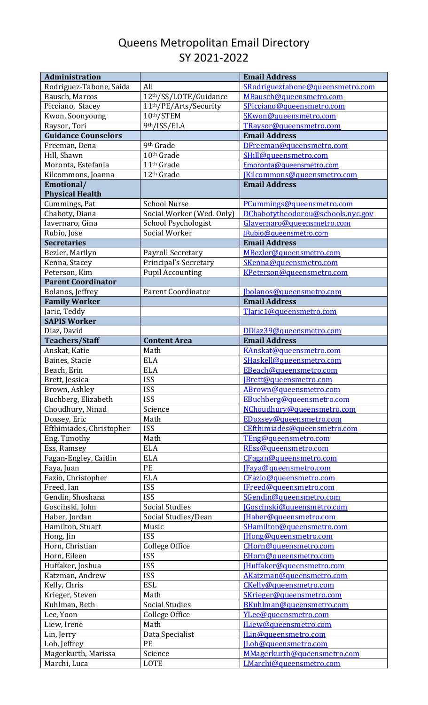## Queens Metropolitan Email Directory SY 2021-2022

| Administration                    |                                      | <b>Email Address</b>                           |
|-----------------------------------|--------------------------------------|------------------------------------------------|
| Rodriguez-Tabone, Saida           | All                                  | SRodrigueztabone@queensmetro.com               |
| Bausch, Marcos                    | 12th/SS/LOTE/Guidance                | MBausch@queensmetro.com                        |
| Picciano, Stacey                  | 11 <sup>th</sup> /PE/Arts/Security   | SPicciano@queensmetro.com                      |
| Kwon, Soonyoung                   | 10th/STEM                            | SKwon@queensmetro.com                          |
| Raysor, Tori                      | 9th/ISS/ELA                          | TRaysor@queensmetro.com                        |
| <b>Guidance Counselors</b>        |                                      | <b>Email Address</b>                           |
| Freeman, Dena                     | 9 <sup>th</sup> Grade                | DFreeman@queensmetro.com                       |
| Hill, Shawn                       | 10 <sup>th</sup> Grade               | SHill@queensmetro.com                          |
| Moronta, Estefania                | 11 <sup>th</sup> Grade               | Emoronta@queensmetro.com                       |
| Kilcommons, Joanna                | 12 <sup>th</sup> Grade               | [Kilcommons@queensmetro.com                    |
| Emotional/                        |                                      | <b>Email Address</b>                           |
| <b>Physical Health</b>            |                                      |                                                |
| Cummings, Pat                     | <b>School Nurse</b>                  | PCummings@queensmetro.com                      |
| Chaboty, Diana                    | Social Worker (Wed. Only)            | DChabotytheodorou@schools.nyc.gov              |
| Iavernaro, Gina                   |                                      |                                                |
|                                   | School Psychologist<br>Social Worker | Glavernaro@queensmetro.com                     |
| Rubio, Jose<br><b>Secretaries</b> |                                      | JRubio@queensmetro.com<br><b>Email Address</b> |
|                                   |                                      |                                                |
| Bezler, Marilyn                   | Payroll Secretary                    | MBezler@queensmetro.com                        |
| Kenna, Stacey                     | <b>Principal's Secretary</b>         | SKenna@queensmetro.com                         |
| Peterson, Kim                     | <b>Pupil Accounting</b>              | KPeterson@queensmetro.com                      |
| <b>Parent Coordinator</b>         |                                      |                                                |
| Bolanos, Jeffrey                  | <b>Parent Coordinator</b>            | [bolanos@queensmetro.com                       |
| <b>Family Worker</b>              |                                      | <b>Email Address</b>                           |
| Jaric, Teddy                      |                                      | TJaric1@queensmetro.com                        |
| <b>SAPIS Worker</b>               |                                      |                                                |
| Diaz, David                       |                                      | DDiaz39@queensmetro.com                        |
| <b>Teachers/Staff</b>             | <b>Content Area</b>                  | <b>Email Address</b>                           |
| Anskat, Katie                     | Math                                 | KAnskat@queensmetro.com                        |
| Baines, Stacie                    | <b>ELA</b>                           | SHaskell@queensmetro.com                       |
| Beach, Erin                       | <b>ELA</b>                           | EBeach@queensmetro.com                         |
| Brett, Jessica                    | <b>ISS</b>                           | [Brett@queensmetro.com                         |
| Brown, Ashley                     | <b>ISS</b>                           | ABrown@queensmetro.com                         |
| Buchberg, Elizabeth               | <b>ISS</b>                           | EBuchberg@queensmetro.com                      |
| Choudhury, Ninad                  | Science                              | NChoudhury@queensmetro.com                     |
| Doxsey, Eric                      | Math                                 | EDoxsey@queensmetro.com                        |
| Efthimiades, Christopher          | <b>ISS</b>                           | CEfthimiades@queensmetro.com                   |
| Eng, Timothy                      | Math                                 | TEng@queensmetro.com                           |
| Ess, Ramsey                       | <b>ELA</b>                           | REss@queensmetro.com                           |
| Fagan-Engley, Caitlin             | <b>ELA</b>                           | CFagan@queensmetro.com                         |
| Faya, Juan                        | PE                                   | [Faya@queensmetro.com                          |
| Fazio, Christopher                | <b>ELA</b>                           | CFazio@queensmetro.com                         |
| Freed, Ian                        | <b>ISS</b>                           | IFreed@queensmetro.com                         |
| Gendin, Shoshana                  | <b>ISS</b>                           | SGendin@queensmetro.com                        |
| Goscinski, John                   | <b>Social Studies</b>                | <b>IGoscinski@queensmetro.com</b>              |
| Haber, Jordan                     | Social Studies/Dean                  | [Haber@queensmetro.com                         |
| Hamilton, Stuart                  | Music                                | SHamilton@queensmetro.com                      |
| Hong, Jin                         | <b>ISS</b>                           | [Hong@queensmetro.com                          |
| Horn, Christian                   | College Office                       | CHorn@queensmetro.com                          |
| Horn, Eileen                      | <b>ISS</b>                           | EHorn@queensmetro.com                          |
|                                   | <b>ISS</b>                           |                                                |
| Huffaker, Joshua                  |                                      | [Huffaker@queensmetro.com                      |
| Katzman, Andrew                   | <b>ISS</b>                           | AKatzman@queensmetro.com                       |
| Kelly, Chris                      | <b>ESL</b>                           | CKelly@queensmetro.com                         |
| Krieger, Steven                   | Math                                 | SKrieger@queensmetro.com                       |
| Kuhlman, Beth                     | <b>Social Studies</b>                | BKuhlman@queensmetro.com                       |
| Lee, Yoon                         | College Office                       | YLee@queensmetro.com                           |
| Liew, Irene                       | Math                                 | ILiew@queensmetro.com                          |
| Lin, Jerry                        | Data Specialist                      | [Lin@queensmetro.com                           |
| Loh, Jeffrey                      | PE                                   | [Loh@queensmetro.com                           |
| Magerkurth, Marissa               | Science                              | MMagerkurth@queensmetro.com                    |
| Marchi, Luca                      | LOTE                                 | LMarchi@queensmetro.com                        |